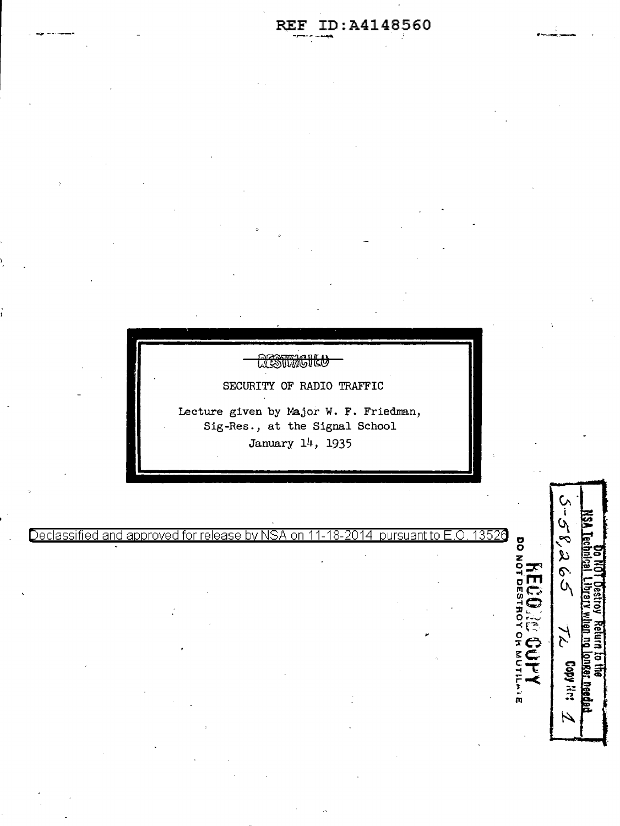

 $\circ$ 

5-58,265

 $\widetilde{\lambda}$ 

Copy Res iti)

 $\overline{\mathcal{L}}$ 

**NOIISE** 

ö

-· I'll

Declassified and approved for release by NSA on 11-18-2014 pursuant to E.O. 13526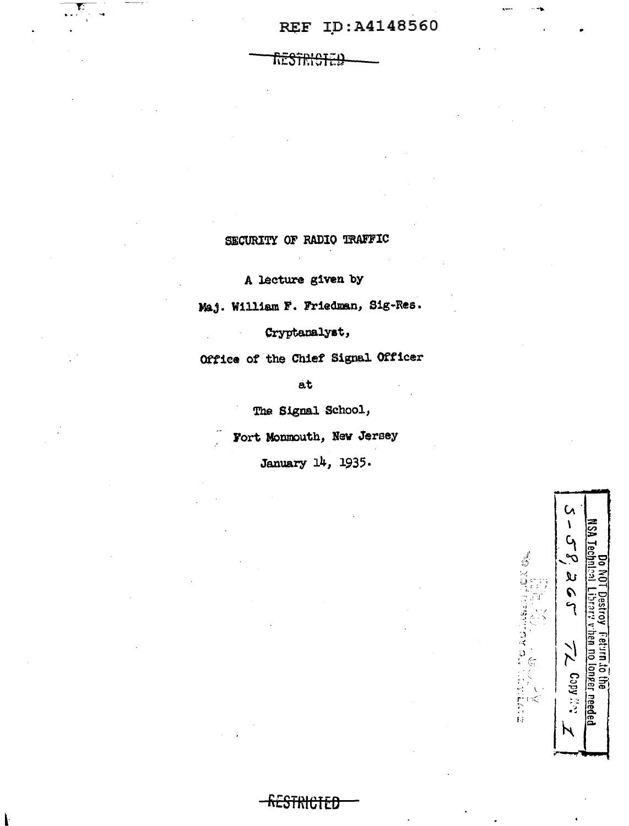## REF ID:A4148560

restri<del>ciei</del>

## SECURITY OF RADIO TRAFFIC

A lecture given by

Maj. William F. Friedman, Sig-Res.

Cryptanalyst,

Office of the Chief Signal Officer

 $at$ 

The Signal School,

Fort Monmouth, New Jersey

January 14, 1935.

<del>kestricted</del>

 $\mathsf{C}$ ١ **ASA** ELFILLER AULUSLAGE ON ىلا  $\frac{1}{2}$  $\sum$ i to the<br><u>Jionger needed</u>  $C_2$  opy  $\mathbb{Z}$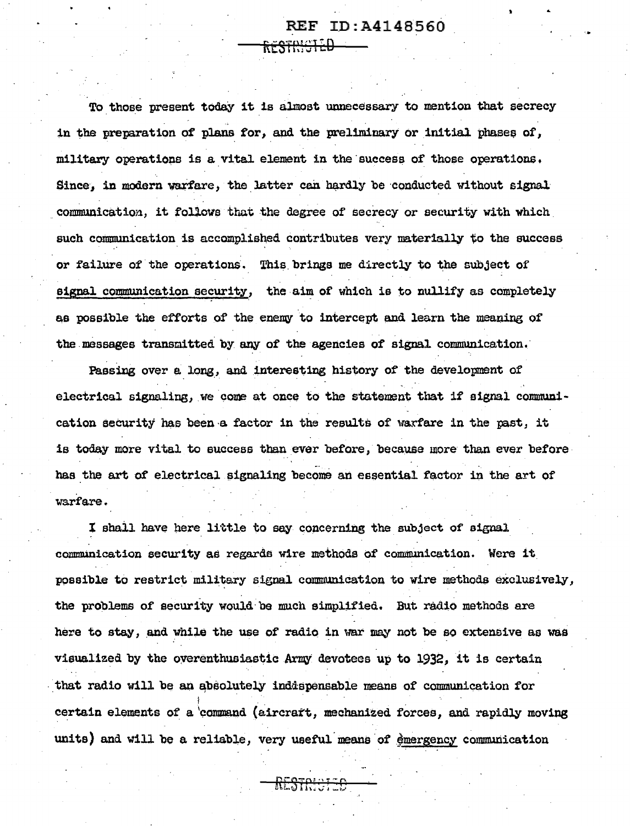### **REF ID:A4148560**

To those present today it is almost unnecessary to mention that secrecy in the preparation of plans for, and the preliminary or initial phases of, military operations is a vital element in the success of those operations. Since, in modern warfare, the latter can hardly be conducted without signal communication, it follows that the degree of secrecy or security with which such communication is accomplished contributes very materially to the success or failure of the operations. This brings me directly to the subject of signal communication security, the aim of which is to nullify as completely as possible the efforts of the enemy to intercept and learn the meaning of the messages transmitted by any of the agencies of signal communication.

<del>restricted</del>

Passing over a long, and interesting history of the development of electrical signaling, we come at once to the statement that if signal communication security has been a factor in the results of warfare in the past, it is today more vital to success than ever before, because more than ever before has the art of electrical signaling become an essential factor in the art of warfare.

I shall have here little to say concerning the subject of signal communication security as regards wire methods of communication. Were it possible to restrict military signal communication to wire methods exclusively, the problems of security would be much simplified. But radio methods are here to stay, and while the use of radio in war may not be so extensive as was visualized by the overenthusiastic Army devotees up to 1932, it is certain that radio will be an absolutely indispensable means of communication for certain elements of a command (aircraft, mechanized forces, and rapidly moving units) and will be a reliable, very useful means of emergency communication

<del>RESTRICI 20</del>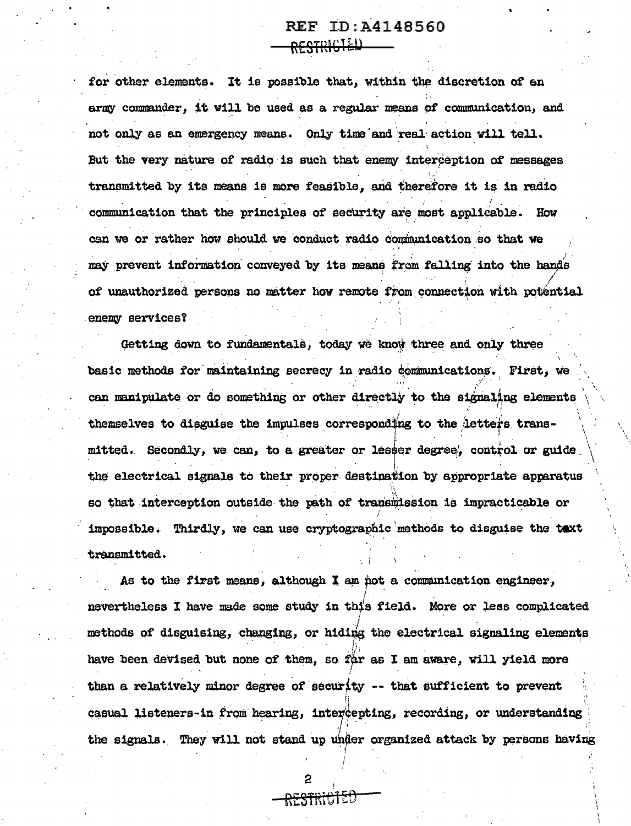## REF ID:A4148560 <del>rfstricted</del>

for other elements. It is possible that, within the discretion of an army commander, it will be used as a regular means of communication, and not only as an emergency means. Only time and real action will tell. But the very nature of radio is such that enemy interception of messages. transmitted by its means is more feasible, and therefore it is in radio communication that the principles of security are most applicable. How can we or rather how should we conduct radio communication so that we may prevent information conveyed by its means from falling into the hands of unauthorized persons no matter how remote from connection with potential enemy services?

Getting down to fundamentals, today we know three and only three basic methods for maintaining secrecy in radio communications. First, we can manipulate or do something or other directly to the signaling elements themselves to disguise the impulses corresponding to the letters transmitted. Secondly, we can, to a greater or lesser degree, control or guide the electrical signals to their proper destination by appropriate apparatus so that interception outside the path of transmission is impracticable or impossible. Thirdly, we can use cryptographic methods to disguise the taxt transmitted.

As to the first means, although I am not a communication engineer, nevertheless I have made some study in this field. More or less complicated methods of disguising, changing, or hiding the electrical signaling elements have been devised but none of them, so far as I am aware, will yield more than a relatively minor degree of security -- that sufficient to prevent casual listeners-in from hearing, intercepting, recording, or understanding the signals. They will not stand up under organized attack by persons having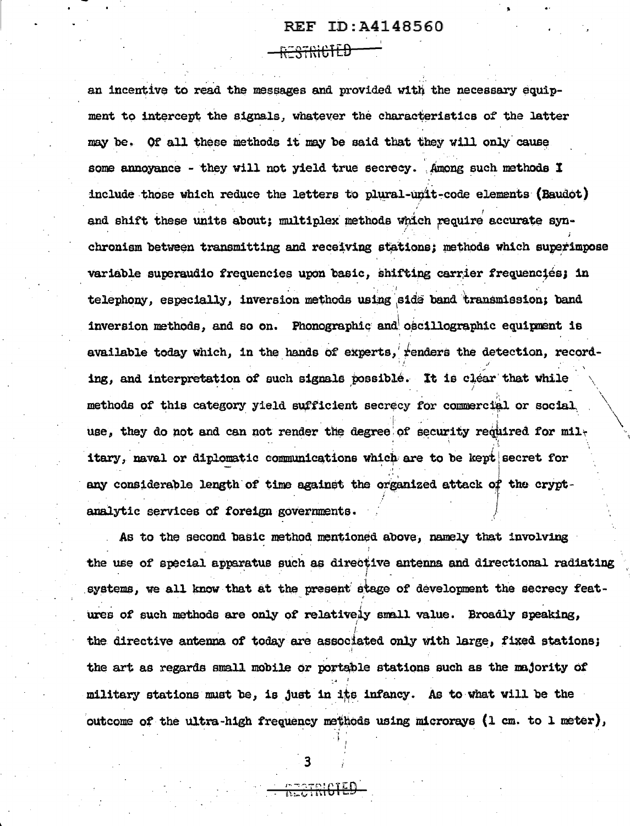#### REF ID: A4148560

<del>9781611 D</del>

an incentive to read the messages and provided with the necessary equipment to intercent the signals, whatever the characteristics of the latter may be. Of all these methods it may be said that they will only cause some annovance - they will not yield true secrecy. Among such methods I include those which reduce the letters to plural-unit-code elements (Baudot) and shift these units about: multiplex methods which require accurate synchronism between transmitting and receiving stations; methods which superimpose variable superaudio frequencies upon basic, shifting carrier frequenciés; in telephony, especially, inversion methods using side band transmission; band inversion methods, and so on. Phonographic and oscillographic equinment is available today which, in the hands of experts, renders the detection, recording, and interpretation of such signals possible. It is clear that while methods of this category yield sufficient secrecy for commercial or social use, they do not and can not render the degree of security required for military, naval or diplomatic communications which are to be kept secret for any considerable length of time against the organized attack of the cryptanalytic services of foreign governments.

As to the second basic method mentioned above, namely that involving the use of special apparatus such as directive antenna and directional radiating systems, we all know that at the present stage of development the secrecy features of such methods are only of relatively small value. Broadly speaking, the directive antenna of today are associated only with large, fixed stations; the art as regards small mobile or portable stations such as the majority of military stations must be, is just in its infancy. As to what will be the outcome of the ultra-high frequency methods using microrays (1 cm. to 1 meter),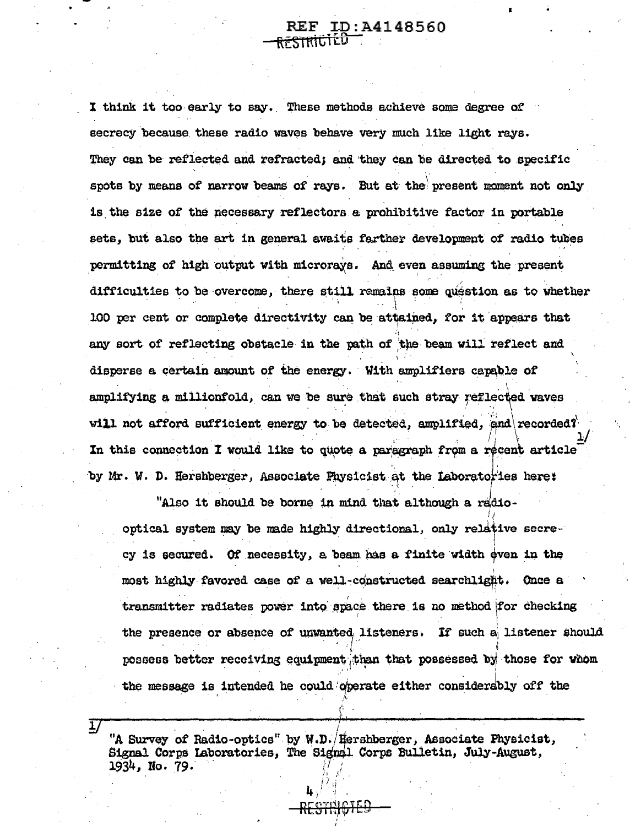#### ID: A4148560 RESTRIGI

I think it too early to say. These methods achieve some degree of secrecy because these radio waves behave very much like light rays. They can be reflected and refracted; and they can be directed to specific spots by means of narrow beams of rays. But at the present moment not only is the size of the necessary reflectors a prohibitive factor in portable sets, but also the art in general awaits farther development of radio tubes permitting of high output with microrays. And even assuming the present difficulties to be overcome, there still remains some question as to whether 100 per cent or complete directivity can be attained, for it appears that any sort of reflecting obstacle in the path of the beam will reflect and disperse a certain amount of the energy. With amplifiers capable of amplifying a millionfold, can we be sure that such stray reflected waves will not afford sufficient energy to be detected, amplified, and recorded? In this connection I would like to quote a paragraph from a recent article by Mr. W. D. Hershberger, Associate Physicist at the Laboratories here:

"Also it should be borne in mind that although a radiooptical system may be made highly directional, only relative secrecy is secured. Of necessity, a beam has a finite width even in the most highly favored case of a well-constructed searchlight. Once a transmitter radiates power into space there is no method for checking the presence or absence of unwanted listeners. If such a listener should possess better receiving equipment than that possessed by those for whom the message is intended he could operate either considerably off the

"A Survey of Radio-optics" by W.D. (Hershberger, Associate Physicist, Signal Corps Laboratories, The Signal Corps Bulletin, July-August, 1934, No. 79.

ı.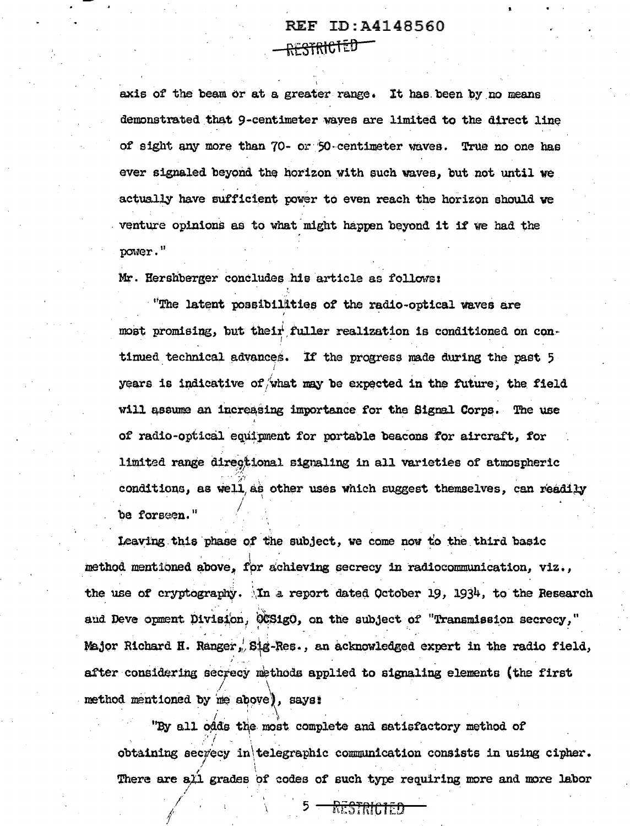## REF ID: A4148560 <del>RESTRICTED</del>

axis of the beam or at a greater range. It has been by no means demonstrated that 9-centimeter waves are limited to the direct line of sight any more than 70- or 50-centimeter waves. True no one has ever signaled beyond the horizon with such waves, but not until we actually have sufficient power to even reach the horizon should we venture opinions as to what might happen beyond it if we had the power."

Mr. Hershberger concludes his article as follows:

"The latent possibilities of the radio-optical waves are most promising, but their fuller realization is conditioned on continued technical advances. If the progress made during the past 5 years is indicative of what may be expected in the future, the field will assume an increasing importance for the Signal Corps. The use of radio-optical equipment for portable beacons for aircraft, for limited range directional signaling in all varieties of atmospheric conditions, as well as other uses which suggest themselves, can readily be forseen."

Leaving this phase of the subject, we come now to the third basic method mentioned above, for achieving secrecy in radiocommunication, viz., the use of cryptography. In a report dated October 19, 1934, to the Research and Deve opment Division, OCSigO, on the subject of "Transmission secrecy," Major Richard H. Ranger, Sig-Res., an acknowledged expert in the radio field, after considering secrecy methods applied to signaling elements (the first method mentioned by me above), says:

"By all odds the most complete and satisfactory method of obtaining secrecy in telegraphic communication consists in using cipher. There are all grades of codes of such type requiring more and more labor

> 5 -RESTRICIED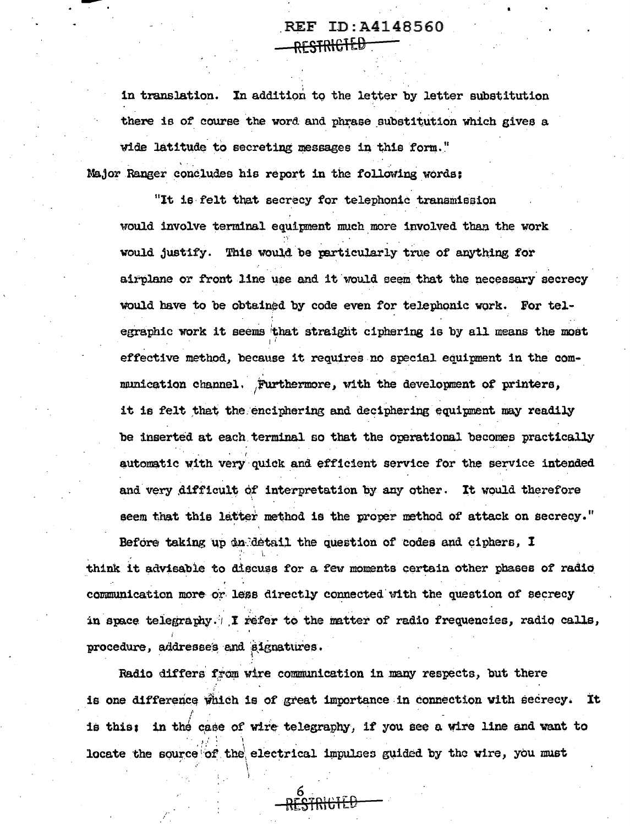## REF ID: A4148560 <del>RESTRICIED -</del>

in translation. In addition to the letter by letter substitution there is of course the word and phrase substitution which gives a wide latitude to secreting messages in this form." Major Ranger concludes his report in the following words:

"It is felt that secrecy for telephonic transmission would involve terminal equipment much more involved than the work would justify. This would be particularly true of anything for airplane or front line use and it would seem that the necessary secrecy would have to be obtained by code even for telephonic work. For telegraphic work it seems that straight ciphering is by all means the most effective method, because it requires no special equipment in the communication channel. Furthermore, with the development of printers, it is felt that the enciphering and deciphering equipment may readily be inserted at each terminal so that the operational becomes practically automatic with very quick and efficient service for the service intended and very difficult of interpretation by any other. It would therefore seem that this latter method is the proper method of attack on secrecy."

Before taking up du detail the question of codes and ciphers, I think it advisable to discuss for a few moments certain other phases of radio communication more or less directly connected with the question of secrecy in space telegraphy. I refer to the matter of radio frequencies, radio calls, procedure, addresses and signatures.

Radio differs from wire communication in many respects, but there is one difference which is of great importance in connection with secrecy. It is this: in the case of wire telegraphy, if you see a wire line and want to locate the source of the electrical impulses guided by the wire, you must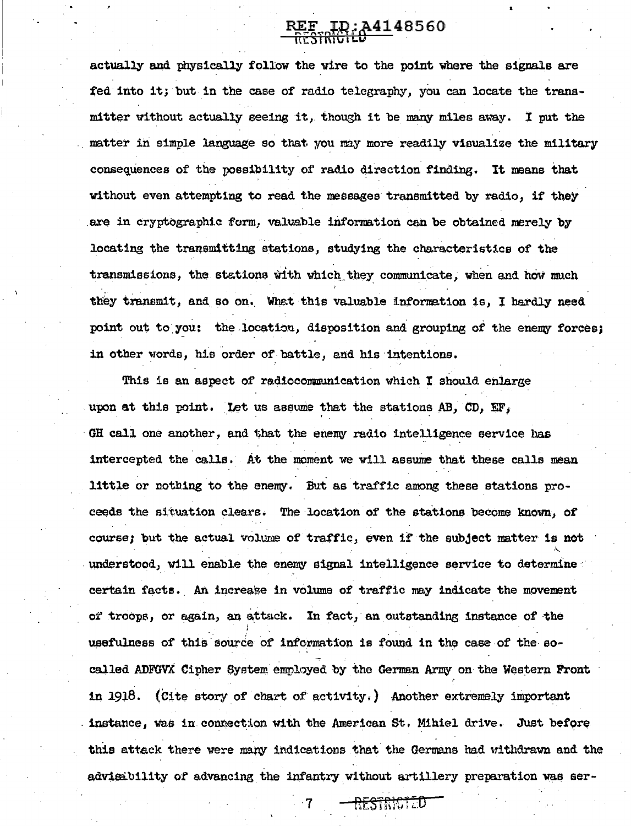# REF ID: A4148560

actually and physically follow the wire to the point where the signals are fed into it; but in the case of radio telegraphy, you can locate the transmitter without actually seeing it, though it be many miles away. I mut the matter in simple language so that you may more readily visualize the military consequences of the possibility of radio direction finding. It means that without even attempting to read the messages transmitted by radio, if they are in cryptographic form, valuable information can be obtained merely by locating the transmitting stations, studying the characteristics of the transmissions, the stations with which they communicate, when and how much they transmit, and so on. What this valuable information is, I hardly need point out to you: the location, disposition and grouping of the enemy forces; in other words, his order of battle, and his intentions.

This is an aspect of radiocommunication which I should enlarge upon at this point. Let us assume that the stations AB, CD, EF. GH call one another, and that the enemy radio intelligence service has intercepted the calls. At the moment we will assume that these calls mean little or nothing to the enemy. But as traffic among these stations proceeds the situation clears. The location of the stations become known, of course; but the actual volume of traffic, even if the subject matter is not understood, will enable the enemy signal intelligence service to determine certain facts. An increase in volume of traffic may indicate the movement of troops, or again, an attack. In fact, an outstanding instance of the usefulness of this source of information is found in the case of the socalled ADFGVX Cipher System employed by the German Army on the Western Front in 1918. (Cite story of chart of activity.) Another extremely important instance, was in connection with the American St. Mihiel drive. Just before this attack there were many indications that the Germans had withdrawn and the advisibility of advancing the infantry without artillery preparation was ser-

RESTRICT D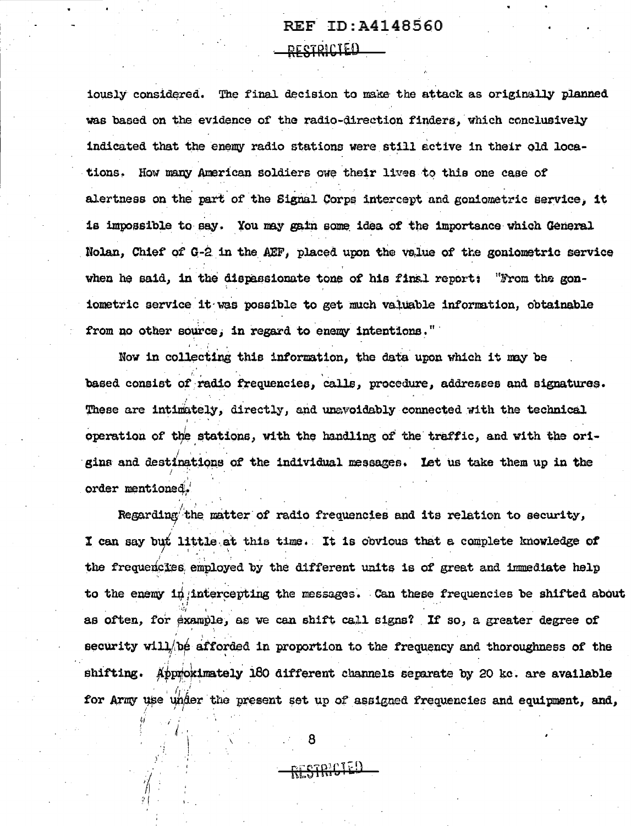## REF ID:A4148560 <u>DESTRICIED</u>

iously considered. The final decision to make the attack as originally planned was based on the evidence of the radio-direction finders, which conclusively indicated that the enemy radio stations were still active in their old locations. How many American soldiers owe their lives to this one case of alertness on the part of the Signal Corps intercept and goniometric service. it is impossible to say. You may gain some idea of the importance which General Nolan, Chief of G-2 in the AEF, placed upon the value of the goniometric service when he said, in the dispassionate tone of his finsl report: "From the goniometric service it was possible to get much valuable information, obtainable from no other source, in regard to enemy intentions."

Now in collecting this information, the data upon which it may be based consist of radio frequencies, calls, procedure, addresses and signatures. These are intimately, directly, and unavoidably connected with the technical operation of the stations, with the handling of the traffic, and with the origins and destinations of the individual messages. Let us take them up in the order mentioned.

Regarding the matter of radio frequencies and its relation to security, I can say but little at this time. It is obvious that a complete knowledge of the frequencies employed by the different units is of great and immediate help to the enemy in intercepting the messages. Can these frequencies be shifted about as often. for example, as we can shift call signs? If so, a greater degree of security will be afforded in proportion to the frequency and thoroughness of the shifting. Approximately 160 different channels separate by 20 kc. are available for Army use under the present set up of assigned frequencies and equipment, and,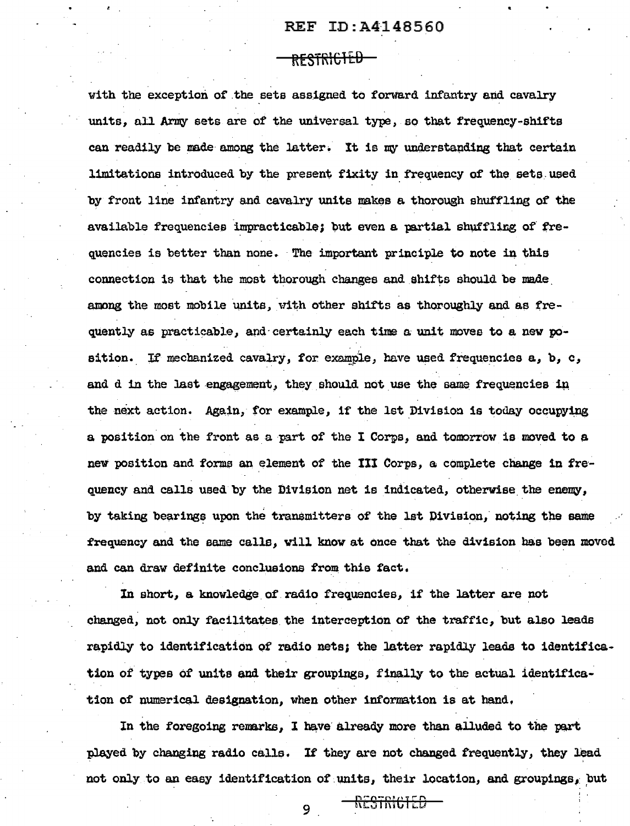#### REF ID:A4148560

#### <del>restricted</del>

with the exception of the sets assigned to forward infantry and cavalry units, all Army sets are of the universal type, so that frequency-shifts can readily be made among the latter. It is my understanding that certain limitations introduced by the present fixity in frequency of the sets used by front line infantry and cavalry units makes a thorough shuffling of the available frequencies impracticable; but even a partial shuffling of frequencies is better than none. The important principle to note in this connection is that the most thorough changes and shifts should be made. among the most mobile units, with other shifts as thoroughly and as frequently as practicable, and certainly each time a unit moves to a new position. If mechanized cavalry, for example, have used frequencies **a**, **b**, **c**, and d in the last engagement, they should not use the same frequencies in the next action. Again, for example, if the lst Division is today occupying a position on the front as a part of the I Corps, and tomorrow is moved to a new position and forms an element of the III Corps, a complete change in frequency and calls used by the Division net is indicated, otherwise the enemy, by taking bearings upon the transmitters of the lst Division, noting the same frequency and the same calls, will know at once that the division has been moved and can draw definite conclusions from this fact.

In short, a knowledge of radio frequencies, if the latter are not changed, not only facilitates the interception of the traffic, but also leads rapidly to identification of radio nets; the latter rapidly leads to identification of types of units and their groupings, finally to the actual identification of numerical designation, when other information is at hand,

In the foregoing remarks, I have already more than alluded to the part played by changing radio calls. If they are not changed frequently, they lead not only to an easy identification of units, their location, and groupings, but

'

9 <del>Restricted</del>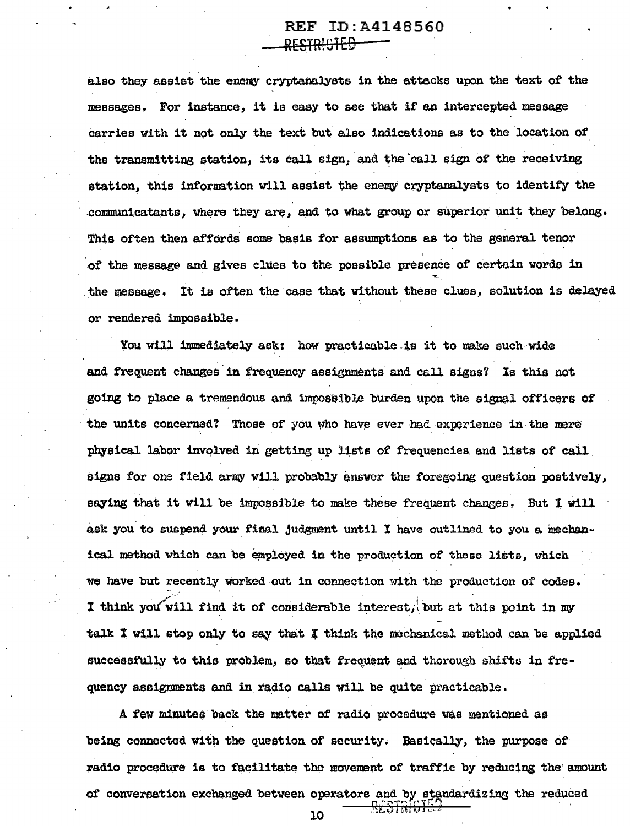## REF ID:A4148560 <del>RESTRICHED</del>

also they assist the enemy cryptanalysts in the attacks upon the text of the messages. For instance, it is easy to see that if' an intercepted message carries with it not only the text but also indications as to the location of the transmitting station, its call sign, and the call sign of the receiving station, this information will assist the enemy cryptanalysts to identify the communicatants, where they are, and to what group or superior unit they belong. This often then affords some basis for assumptions as to the general tenor I of the message and gives clues to the possible presence of certain words in "'· the message. It is often the case that without these clues, solution is delayed or rendered impossible.

You will immediately ask: how practicable is it to make such wide and frequent changes in frequency assignments and call signs? Is this not going to place a tremendous and impossible burden upon the signal officers of the units concerned? Those of you who have ever had experience in the mere physical labor involved in getting up lists of frequencies and lists of call signs for one field army will probably answer the foregoing question postively, saying that it will be impossible to make these frequent changes. But I will ask you to suspend your final judgment until I have outlined to you a mechanical method which can be employed in the production of these lists, which we have but recently worked out in connection with the production of codes. I think you will find it of considerable interest, but at this point in my talk I will stop only to say that I think the mechanical method can be applied successfully to this problem, so that frequent and thorough shifts in frequency assignments and in radio calls will be quite practicable.

A few minutes back the matter of radio procedure was mentioned as being connected with the question of security. Basically, the purpose of radio procedure is to facilitate the movement of traffic by reducing the amount of conversation exchanged between operators and by standardizing the reduced  $\frac{R_{\rm L}^2STR[6]^{1.9}}{10}$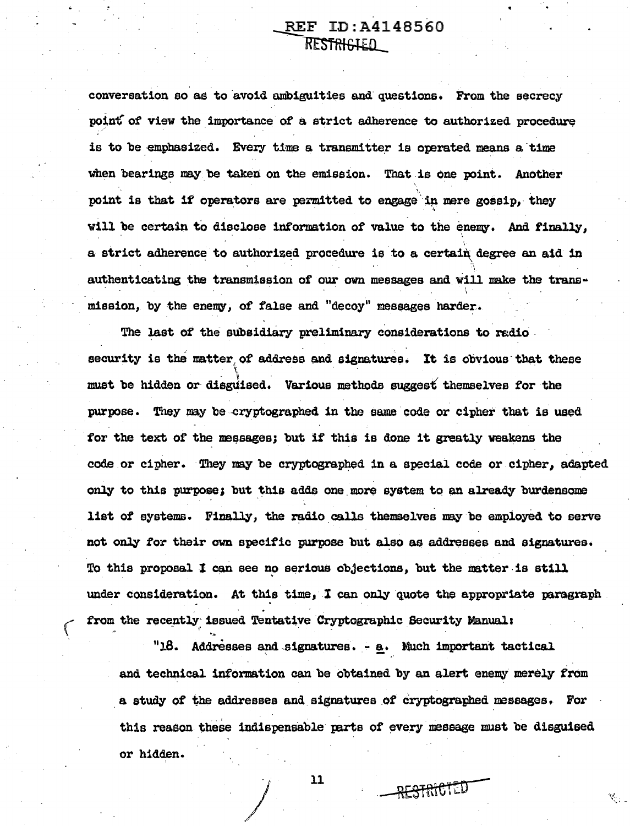## REF ID: A4148560 RESTRIGIED

conversation so as to avoid ambiguities and questions. From the secrecy point of view the importance of a strict adherence to authorized procedure is to be emphasized. Every time a transmitter is operated means a time when bearings may be taken on the emission. That is one point. Another point is that if operators are permitted to engage in mere gossip, they will be certain to disclose information of value to the enemy. And finally, a strict adherence to authorized procedure is to a certain degree an aid in authenticating the transmission of our own messages and will make the transmission, by the enemy, of false and "decoy" messages harder.

The last of the subsidiary preliminary considerations to radio. security is the matter of address and signatures. It is obvious that these must be hidden or disguised. Various methods suggest themselves for the purpose. They may be cryptographed in the same code or cipher that is used for the text of the messages; but if this is done it greatly weakens the code or cipher. They may be cryptographed in a special code or cipher, adapted only to this purpose; but this adds one more system to an already burdensome list of systems. Finally, the radio calls themselves may be employed to serve not only for their own specific purpose but also as addresses and signatures. To this proposal I can see no serious objections, but the matter is still under consideration. At this time, I can only quote the appropriate paragraph from the recently issued Tentative Cryptographic Security Manual:

"18. Addresses and signatures. - a. Much important tactical and technical information can be obtained by an alert enemy merely from a study of the addresses and signatures of cryptographed messages. For this reason these indispensable parts of every message must be disguised or hidden.

RESTRICTED

11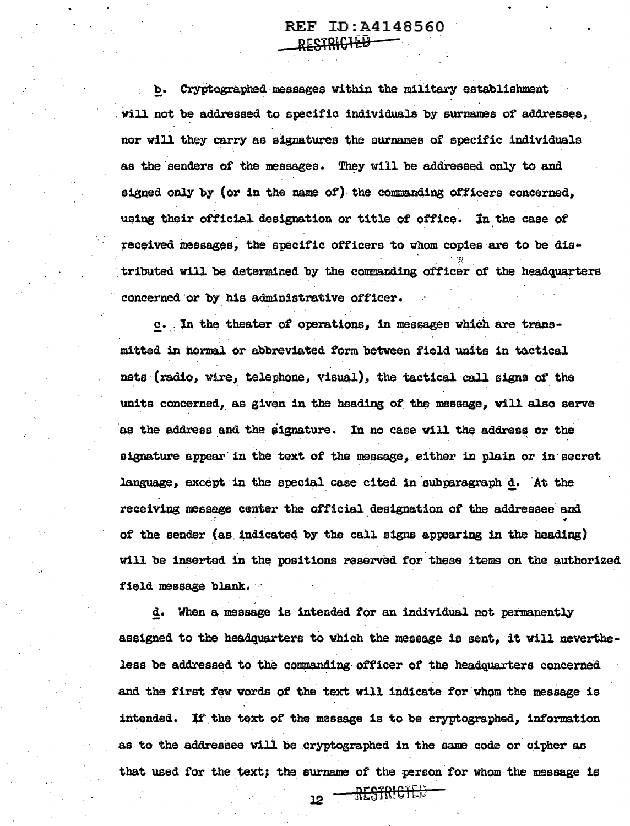#### REF ID:A4148560 RESTRI<del>CIEU</del>

b. Cryptographed messages within the military establishment will not be addressed to specific individuals by surnames of addresses, nor will they carry as signatures the surnames of specific individuals as the senders of the messages. They will be addressed only to and signed only by (or in the name of) the conmanding officers concerned, using their official designation or title of office. In the case of received messages, the specific officers to whom copies are to be distributed will be determined by the commanding officer of the headquarters concerned or by his administrative officer.

c. In the theater of operations, in messages which are transmitted in normal or abbreviated form between field units in tactical nets (radio, wire, telephone, visual), the tactical call signs of the units concerned, as given in the heading of the message, will also serve as the address and the signature. In no case will the address or the signature appear in the text of the message, either in plain or in secret language, except in the special case cited in subparagraph d. At the receiving message center the official designation of the addressee and of the sender (as indicated by the call signs appearing in the heading) will be inserted in the positions reserved for these items on the authorized field message blank.

d. When a message is intended for an individual not permanently assigned to the headquarters to which the message is sent, it will nevertheless be addressed to the commanding officer of the headquarters concerned and the first few words of the text will indicate for whom the message is intended. If the text of the message is to be cryptographed, information as to the addressee will be cryptographed in the same code or cipher as that used for the text; the surname of the person for Whom the message is

12 <del>- RESTRICTED</del>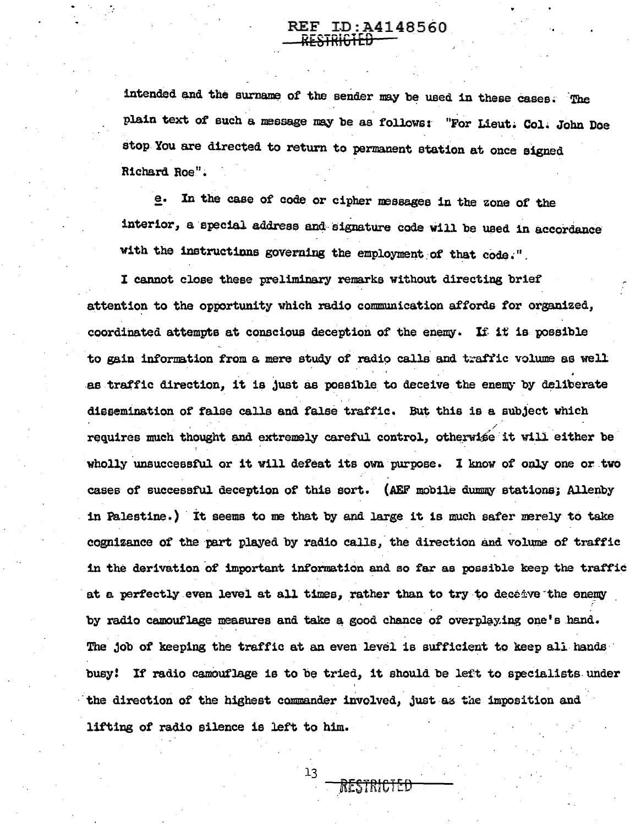# REF ID:A4148560

intended and the surname of the sender may be used in these cases. The plain text of such a message may be as follows: "For Lieut. Col. John Doe stop You are directed to return to permanent station at once signed Richard Roe".

e. In the case of code or cipher messages in the zone of the interior, a special address and signature code will be used in accordance with the instructions governing the employment of that code."

I cannot close these preliminary remarks without directing brief attention to the opportunity which radio communication affords for organized. coordinated attempts at conscious deception of the enemy. If it is possible to gain information from a mere study of radio calls and traffic volume as well as traffic direction, it is just as possible to deceive the enemy by deliberate dissemination of false calls and false traffic. But this is a subject which requires much thought and extremely careful control, otherwise it will either be wholly unsuccessful or it will defeat its own purpose. I know of only one or two cases of successful deception of this sort. (AEF mobile dummy stations; Allenby in Palestine.) It seems to me that by and large it is much safer merely to take cognizance of the part played by radio calls, the direction and volume of traffic in the derivation of important information and so far as possible keep the traffic at a perfectly even level at all times, rather than to try to deceive the enemy by radio camouflage measures and take a good chance of overplaying one's hand. The job of keeping the traffic at an even level is sufficient to keep all hands busy! If radio camouflage is to be tried, it should be left to specialists under the direction of the highest commander involved, just as the imposition and lifting of radio silence is left to him.

 $13$ 

RESTRICTED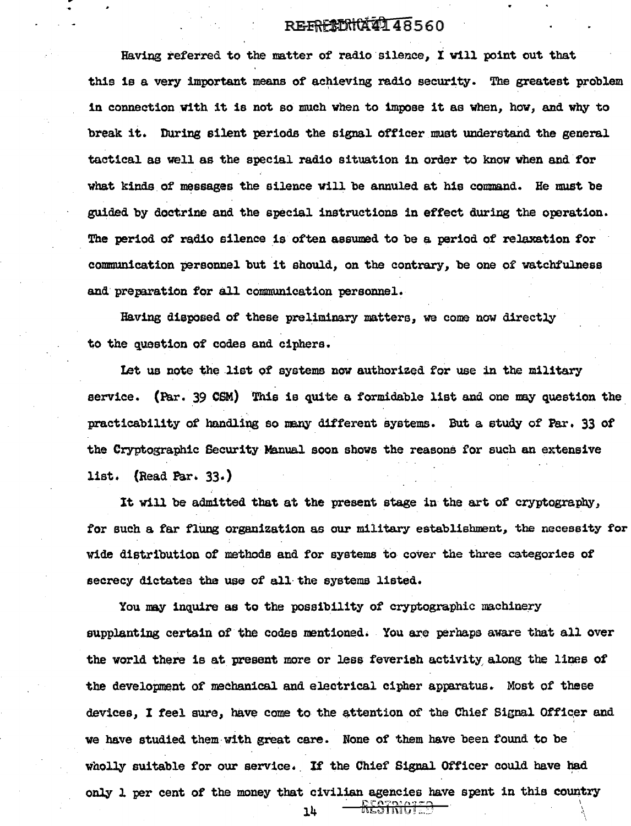## RE-FREEDHOL48560

Having referred to the matter of radio silence, I will point out that this is a very important means of achieving radio security. The greatest problem 1n connection With it is not so much when to impose it aa When, how, and why to break it. During silent periods the signal officer must understand the general tactical as well as the special radio situation in order to know when and for what kinds of messages the silence will be annuled at his command. He must be guided by doctrine and the special instructions in effect during the operation. The period of radio silence is often assumed to be a period of relaxation for communication personnel but it should, on the contrary, be one of watchfulness and preparation for all communication personnel.

Having diepased of these preliminary matters, we come now directly to the question of codes and ciphers.

Let us note the list of systems now authorized for use in the military service. (Par. 39 CSM) This is quite a formidable list and one may question the practicability of handling so many different systems. But a study of Par. 33 of the Cryptographic Security Manual soon shows the reasons for such an extensive list.  $(Read Par. 33.)$ 

It will be admitted that at the present stage in the art of cryptography, for such a far flung organization as our military establishment, the necessity for wide distribution of methods and for systems to cover the three categories of secrecy dictates the use of all the systems listed.

You may inquire as to the possibility of cryptographic machinery supplanting certain of the codes mentioned. You are perhaps aware that all over the world there is at present more or less feverish activity along the lines of the development of mechanical and electrical cipher apparatus. Most of these devices, I feel sure, have come to the attention of the Chief Signal Officer and we have studied them with great care. None of them have been found to be wholly suitable for our service. If the Chief Signal Officer could have had only l per cent of the money that civilian agencies have spent in this country  $14 - \frac{R_{CQ}^{2}R_{CQ}^{2}}{R_{CQ}^{2}R_{CQ}^{2}}$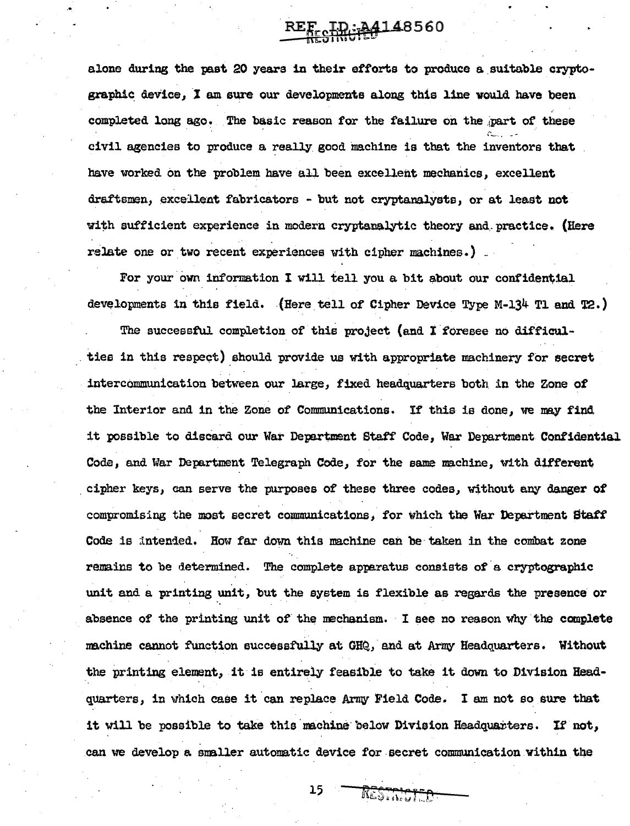REF ID: 04148560

alone during the past 20 years in their efforts to produce a\_suitable cryptographic device, I am sure our developments along this line would have been . completed long ago. The basic reason for the failure on the .part of these <sup>~</sup>... ". - civil agencies to produce a really good machine is that the inventors that have worked on the problem have all been excellent mechanics, excellent draftsmen, excellent fabricators - but not cryptanalysts, or at least not with sufficient experience in modern cryptanalytic theory and ... practice. (Here relate one or two recent experiences with cipher machines.) .

For your own information I will tell you a bit about our confidential developments in this field. (Here tell of Cipher Device Type M-134 Tl and  $T2$ .)

The successful completion of this project (and I foresee no difficulties in this respect) should provide us with appropriate machinery for secret intercammunication between our large, fixed headquarters both in the Zone of the Interior and in the Zone of Communications. If this is done, we may find it possible to discard our War Department Staff Code, War Department Confidential Code, and War Department Telegraph Code, for the same machine, with different cipher keys, can serve the purposes of these three codes, without any danger of compromising the most secret communications, for which the War Department Staff Code is intended. How far down this machine can be taken in the combat zone remains to be determined. The complete apparatus consists of a cryptographic unit and a printing unit, but the system is flexible as regards the presence or absence of the printing unit of the mechanism. I see no reason why the complete machine cannot function successfully at GHQ, and at Army Headquarters. Without the printing element, it is entirely feasible to take it down to Division Headquarters, in which case it can replace Army Field Code. I am not so sure that it will be possible to take this machine below Division Headquarters. If not, can we develop a smaller automatic device for secret communication within the

15

RESTRICIED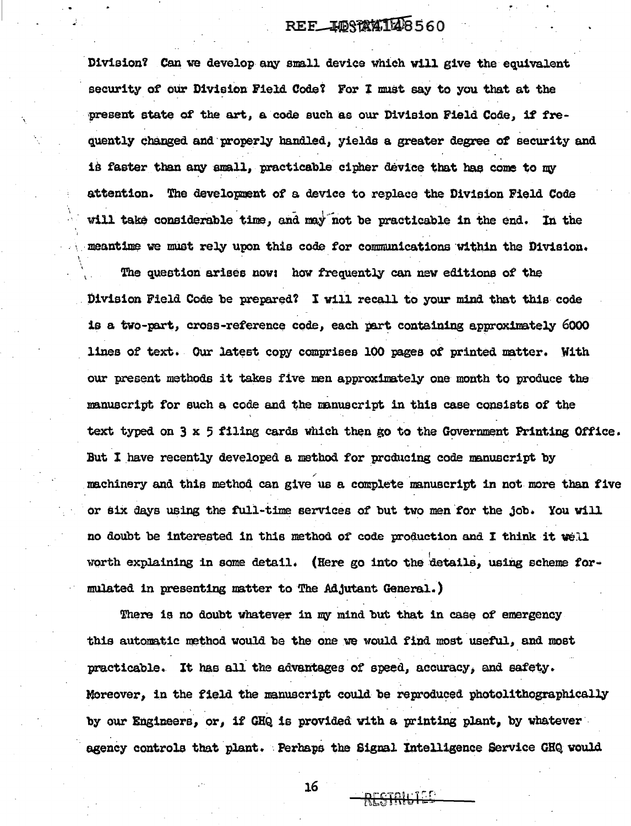## REF IDSTATILE 560

Division? Can we develop any small device which will give the equivalent security of our Division Field Code? For I must say to you that at the present state of the art, a code such as our Division Field Code, if frequently changed and properly handled, yields a greater degree of security and is faster than any small, practicable cipher device that has come to my attention. The development of a device to replace the Division Field Code will take considerable time, and may not be practicable in the end. In the meantime we must rely upon this code for communications within the Division.

The question arises now: how frequently can new editions of the Division Field Code be prepared? I will recall to your mind that this code is a two-part, cross-reference code, each part containing approximately 6000 lines of text. Our latest copy comprises 100 pages of printed matter. With our present methods it takes five men approximately one month to produce the manuscript for such a code and the manuscript in this case consists of the text typed on 3 x 5 filing cards which then go to the Government Printing Office. But I have recently developed a method for producing code manuscript by machinery and this method can give us a complete manuscript in not more than five or six days using the full-time services of but two men for the job. You will no doubt be interested in this method of code production and I think it well worth explaining in some detail. (Here go into the details, using scheme formulated in presenting matter to The Adjutant General.)

There is no doubt whatever in my mind but that in case of emergency this automatic method would be the one we would find most useful, and most macticable. It has all the advantages of speed, accuracy, and safety. Moreover, in the field the manuscript could be reproduced photolithographically by our Engineers, or, if GHQ is provided with a printing plant, by whatever agency controls that plant. Perhaps the Signal Intelligence Service GHQ would

RESTRILIED

16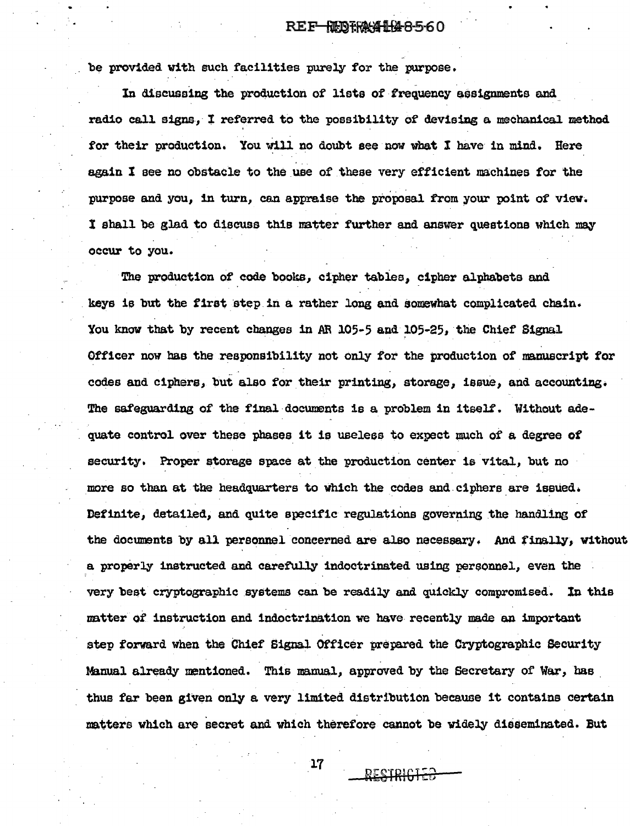#### REF-REDERALLA8-560

be provided with such facilities purely for the purpose.

In discussing the production of lists of frequency assignments and radio call signs, I referred to the possibility of devising a mechanical method for their production. You will no doubt see now what I have in mind. Here again I see no obstacle to the use of these very efficient machines for the purpose and you, in turn, can appraise the proposal from your point of view. I shall be glad to discuss this matter further and answer questions which may occur to you.

The production of code books, cipher tables, cipher alphabets and keys is but the first step in a rather long and somewhat complicated chain. You know that by recent changes in AR 105-5 and 105-25, the Chief Signal Officer now bas the responsibility not only for the production of manuscript for codes and ciphers, but also for their printing, storage, issue, and accounting• The safeguarding of the final documents is a problem in itself. Without adequate control over these phases it is useless to expect much of a degree of security. Proper storage space at the production center is vital, but no more so than at the headquarters to which the codes and ciphers are issued. Definite, detailed, and quite specific regulations governing the handling of the documents by all personnel concerned are also necessary. And finally, without a properly instructed and caretully indoctrinated using pereonnel, even the . very best cryptographic systems can be readily and quickly compromised. In this matter of instruction and indoctrimation we have recently made an important step forward when the Chief Signal Officer prepared the Cryptographic Security Manual already mentioned. This manual, approved by the Secretary of War, has thus far bean given only a very limited distribution because it contains certain matters which are secret and which therefore cannot be widely disseminated. But

17

RECIPIC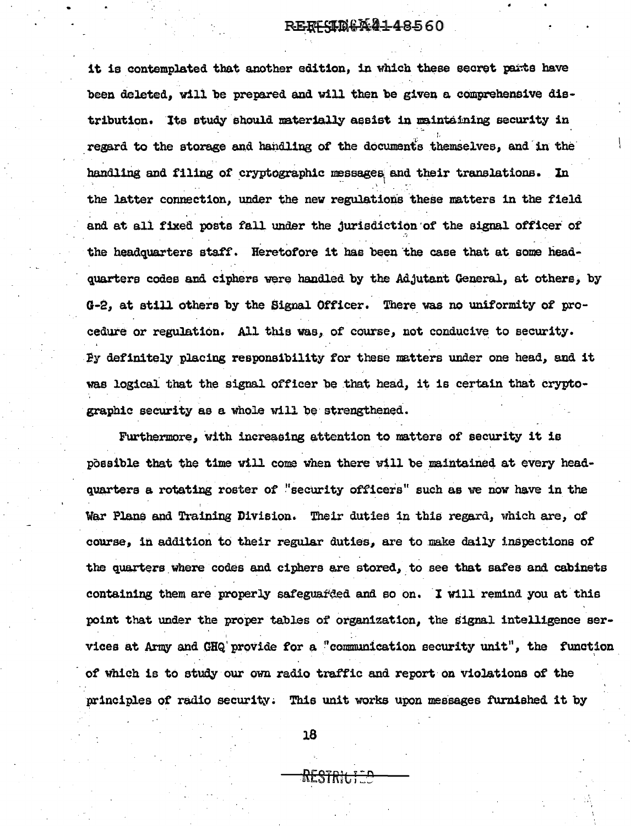it is contemplated that another edition, in which these secret parts have been deleted, will be prepared and will then be given a comprehensive distribution. Its study should materially assist in maintaining security in regard to the storage and handling of the documents themselves, and in the handling and filing of cryptographic messages and their translations. In the latter connection, under the new regulations these matters in the field and at all fixed posts fall under the jurisdiction of the signal officer of the headquarters staff. Heretofore it has been the case that at some headquarters codes and ciphers were handled by the Adjutant General, at others, by G-2, at still others by the Signal Officer. There was no uniformity of procedure or regulation. All this was, of course, not conducive to security. By definitely placing responsibility for these matters under one head, and it was logical that the signal officer be that head, it is certain that cryptographic security as a whole will be strengthened.

Furthermore, with increasing attention to matters of security it is possible that the time will come when there will be maintained at every headquarters a rotating roster of "security officers" such as we now have in the War Plans and Training Division. Their duties in this regard, which are, of course, in addition to their regular duties, are to make daily inspections of the quarters where codes and ciphers are stored, to see that safes and cabinets containing them are properly safeguatded and so on. I will remind you at this point that under the proper tables of organization, the signal intelligence services at Army and GHQ provide for a "communication security unit", the function of which is to study our own radio traffic and report on violations of the principles of radio security. This unit works upon messages furnished it by

18

<del>RESTRIC;</del>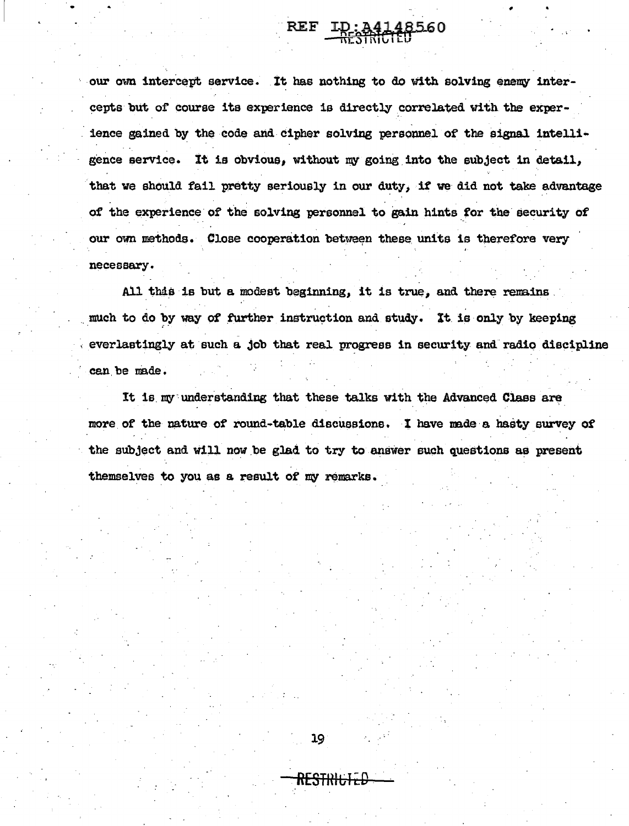our own intercept service. It has nothing to do with solving enemy intercepts but of course its experience is directly correlated with the experience gained by the code and cipher solving personnel of the signal intelligence service. It is obvious, without my going into the subject in detail. that we should fail pretty seriously in our duty, if we did not take advantage of the experience of the solving personnel to gain hints for the security of our own methods. Close cooperation between these units is therefore very necessary.

 $\mathop{\bf REF}\nolimits$ 

ID: 34148560

All this is but a modest beginning, it is true, and there remains much to do by way of further instruction and study. It is only by keeping everlastingly at such a job that real progress in security and radio discipline can be made.

It is my understanding that these talks with the Advanced Class are more of the nature of round-table discussions. I have made a hasty survey of the subject and will now be glad to try to answer such questions as present themselves to you as a result of my remarks.

<del>RESTRIL</del>